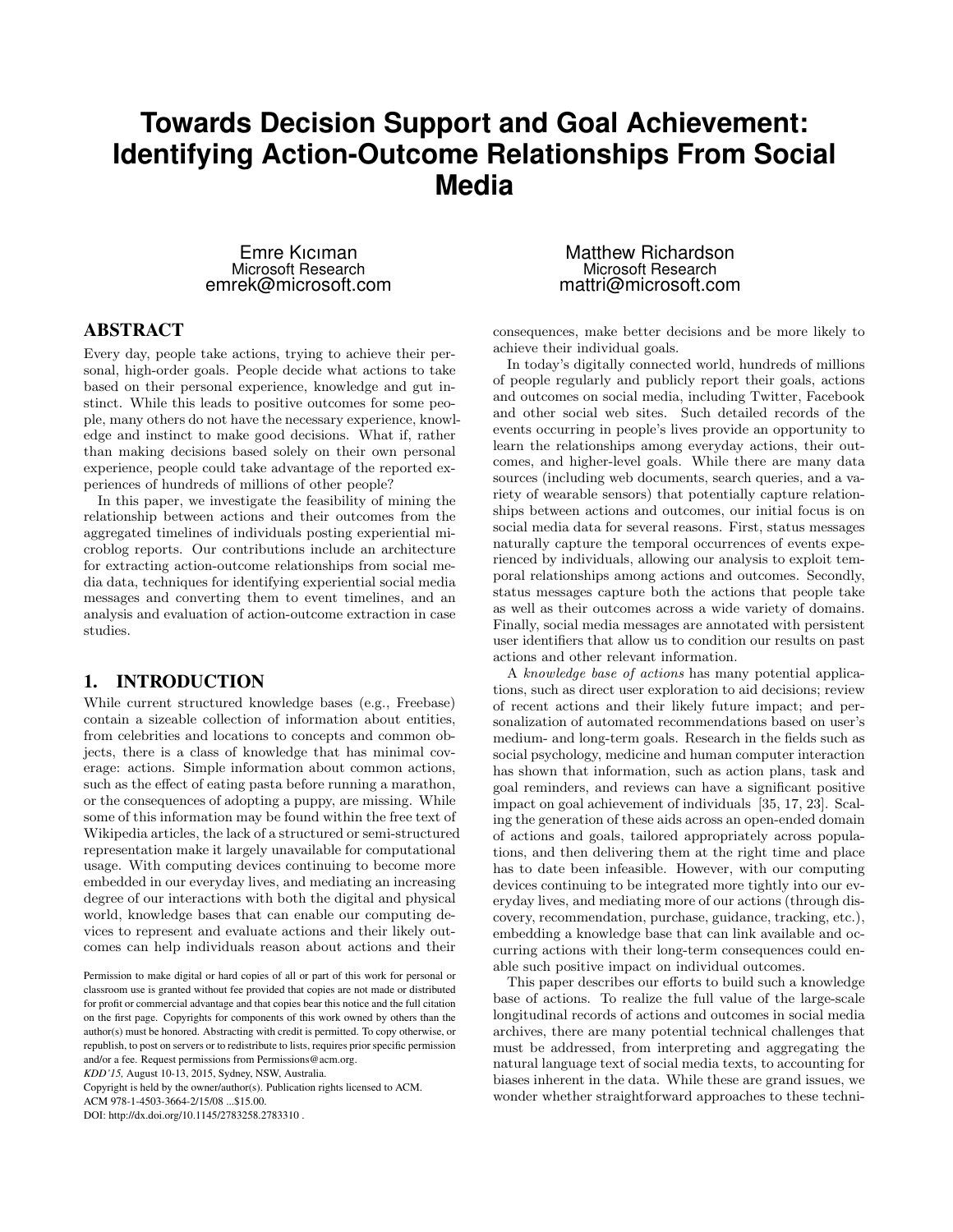# **Towards Decision Support and Goal Achievement: Identifying Action-Outcome Relationships From Social Media**

Emre Kıcıman Microsoft Research emrek@microsoft.com

## ABSTRACT

Every day, people take actions, trying to achieve their personal, high-order goals. People decide what actions to take based on their personal experience, knowledge and gut instinct. While this leads to positive outcomes for some people, many others do not have the necessary experience, knowledge and instinct to make good decisions. What if, rather than making decisions based solely on their own personal experience, people could take advantage of the reported experiences of hundreds of millions of other people?

In this paper, we investigate the feasibility of mining the relationship between actions and their outcomes from the aggregated timelines of individuals posting experiential microblog reports. Our contributions include an architecture for extracting action-outcome relationships from social media data, techniques for identifying experiential social media messages and converting them to event timelines, and an analysis and evaluation of action-outcome extraction in case studies.

## 1. INTRODUCTION

While current structured knowledge bases (e.g., Freebase) contain a sizeable collection of information about entities, from celebrities and locations to concepts and common objects, there is a class of knowledge that has minimal coverage: actions. Simple information about common actions, such as the effect of eating pasta before running a marathon, or the consequences of adopting a puppy, are missing. While some of this information may be found within the free text of Wikipedia articles, the lack of a structured or semi-structured representation make it largely unavailable for computational usage. With computing devices continuing to become more embedded in our everyday lives, and mediating an increasing degree of our interactions with both the digital and physical world, knowledge bases that can enable our computing devices to represent and evaluate actions and their likely outcomes can help individuals reason about actions and their

*KDD'15,* August 10-13, 2015, Sydney, NSW, Australia.

Copyright is held by the owner/author(s). Publication rights licensed to ACM.

ACM 978-1-4503-3664-2/15/08 ...\$15.00.

DOI: http://dx.doi.org/10.1145/2783258.2783310 .

Matthew Richardson Microsoft Research mattri@microsoft.com

consequences, make better decisions and be more likely to achieve their individual goals.

In today's digitally connected world, hundreds of millions of people regularly and publicly report their goals, actions and outcomes on social media, including Twitter, Facebook and other social web sites. Such detailed records of the events occurring in people's lives provide an opportunity to learn the relationships among everyday actions, their outcomes, and higher-level goals. While there are many data sources (including web documents, search queries, and a variety of wearable sensors) that potentially capture relationships between actions and outcomes, our initial focus is on social media data for several reasons. First, status messages naturally capture the temporal occurrences of events experienced by individuals, allowing our analysis to exploit temporal relationships among actions and outcomes. Secondly, status messages capture both the actions that people take as well as their outcomes across a wide variety of domains. Finally, social media messages are annotated with persistent user identifiers that allow us to condition our results on past actions and other relevant information.

A knowledge base of actions has many potential applications, such as direct user exploration to aid decisions; review of recent actions and their likely future impact; and personalization of automated recommendations based on user's medium- and long-term goals. Research in the fields such as social psychology, medicine and human computer interaction has shown that information, such as action plans, task and goal reminders, and reviews can have a significant positive impact on goal achievement of individuals [35, 17, 23]. Scaling the generation of these aids across an open-ended domain of actions and goals, tailored appropriately across populations, and then delivering them at the right time and place has to date been infeasible. However, with our computing devices continuing to be integrated more tightly into our everyday lives, and mediating more of our actions (through discovery, recommendation, purchase, guidance, tracking, etc.), embedding a knowledge base that can link available and occurring actions with their long-term consequences could enable such positive impact on individual outcomes.

This paper describes our efforts to build such a knowledge base of actions. To realize the full value of the large-scale longitudinal records of actions and outcomes in social media archives, there are many potential technical challenges that must be addressed, from interpreting and aggregating the natural language text of social media texts, to accounting for biases inherent in the data. While these are grand issues, we wonder whether straightforward approaches to these techni-

Permission to make digital or hard copies of all or part of this work for personal or classroom use is granted without fee provided that copies are not made or distributed for profit or commercial advantage and that copies bear this notice and the full citation on the first page. Copyrights for components of this work owned by others than the author(s) must be honored. Abstracting with credit is permitted. To copy otherwise, or republish, to post on servers or to redistribute to lists, requires prior specific permission and/or a fee. Request permissions from Permissions@acm.org.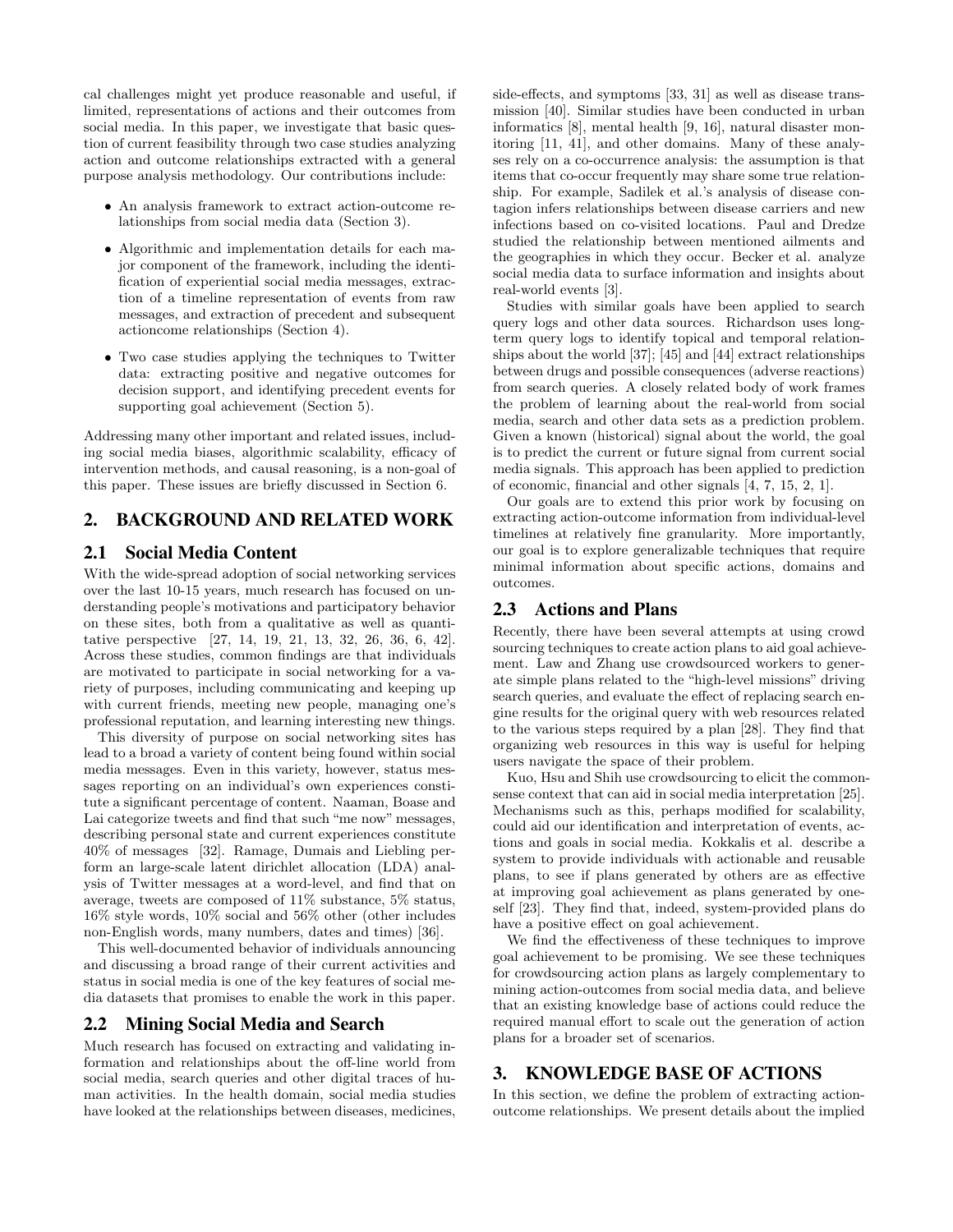cal challenges might yet produce reasonable and useful, if limited, representations of actions and their outcomes from social media. In this paper, we investigate that basic question of current feasibility through two case studies analyzing action and outcome relationships extracted with a general purpose analysis methodology. Our contributions include:

- An analysis framework to extract action-outcome relationships from social media data (Section 3).
- Algorithmic and implementation details for each major component of the framework, including the identification of experiential social media messages, extraction of a timeline representation of events from raw messages, and extraction of precedent and subsequent actioncome relationships (Section 4).
- Two case studies applying the techniques to Twitter data: extracting positive and negative outcomes for decision support, and identifying precedent events for supporting goal achievement (Section 5).

Addressing many other important and related issues, including social media biases, algorithmic scalability, efficacy of intervention methods, and causal reasoning, is a non-goal of this paper. These issues are briefly discussed in Section 6.

## 2. BACKGROUND AND RELATED WORK

## 2.1 Social Media Content

With the wide-spread adoption of social networking services over the last 10-15 years, much research has focused on understanding people's motivations and participatory behavior on these sites, both from a qualitative as well as quantitative perspective [27, 14, 19, 21, 13, 32, 26, 36, 6, 42]. Across these studies, common findings are that individuals are motivated to participate in social networking for a variety of purposes, including communicating and keeping up with current friends, meeting new people, managing one's professional reputation, and learning interesting new things.

This diversity of purpose on social networking sites has lead to a broad a variety of content being found within social media messages. Even in this variety, however, status messages reporting on an individual's own experiences constitute a significant percentage of content. Naaman, Boase and Lai categorize tweets and find that such "me now" messages, describing personal state and current experiences constitute 40% of messages [32]. Ramage, Dumais and Liebling perform an large-scale latent dirichlet allocation (LDA) analysis of Twitter messages at a word-level, and find that on average, tweets are composed of 11% substance, 5% status, 16% style words, 10% social and 56% other (other includes non-English words, many numbers, dates and times) [36].

This well-documented behavior of individuals announcing and discussing a broad range of their current activities and status in social media is one of the key features of social media datasets that promises to enable the work in this paper.

#### 2.2 Mining Social Media and Search

Much research has focused on extracting and validating information and relationships about the off-line world from social media, search queries and other digital traces of human activities. In the health domain, social media studies have looked at the relationships between diseases, medicines, side-effects, and symptoms [33, 31] as well as disease transmission [40]. Similar studies have been conducted in urban informatics [8], mental health [9, 16], natural disaster monitoring [11, 41], and other domains. Many of these analyses rely on a co-occurrence analysis: the assumption is that items that co-occur frequently may share some true relationship. For example, Sadilek et al.'s analysis of disease contagion infers relationships between disease carriers and new infections based on co-visited locations. Paul and Dredze studied the relationship between mentioned ailments and the geographies in which they occur. Becker et al. analyze social media data to surface information and insights about real-world events [3].

Studies with similar goals have been applied to search query logs and other data sources. Richardson uses longterm query logs to identify topical and temporal relationships about the world [37]; [45] and [44] extract relationships between drugs and possible consequences (adverse reactions) from search queries. A closely related body of work frames the problem of learning about the real-world from social media, search and other data sets as a prediction problem. Given a known (historical) signal about the world, the goal is to predict the current or future signal from current social media signals. This approach has been applied to prediction of economic, financial and other signals [4, 7, 15, 2, 1].

Our goals are to extend this prior work by focusing on extracting action-outcome information from individual-level timelines at relatively fine granularity. More importantly, our goal is to explore generalizable techniques that require minimal information about specific actions, domains and outcomes.

### 2.3 Actions and Plans

Recently, there have been several attempts at using crowd sourcing techniques to create action plans to aid goal achievement. Law and Zhang use crowdsourced workers to generate simple plans related to the "high-level missions" driving search queries, and evaluate the effect of replacing search engine results for the original query with web resources related to the various steps required by a plan [28]. They find that organizing web resources in this way is useful for helping users navigate the space of their problem.

Kuo, Hsu and Shih use crowdsourcing to elicit the commonsense context that can aid in social media interpretation [25]. Mechanisms such as this, perhaps modified for scalability, could aid our identification and interpretation of events, actions and goals in social media. Kokkalis et al. describe a system to provide individuals with actionable and reusable plans, to see if plans generated by others are as effective at improving goal achievement as plans generated by oneself [23]. They find that, indeed, system-provided plans do have a positive effect on goal achievement.

We find the effectiveness of these techniques to improve goal achievement to be promising. We see these techniques for crowdsourcing action plans as largely complementary to mining action-outcomes from social media data, and believe that an existing knowledge base of actions could reduce the required manual effort to scale out the generation of action plans for a broader set of scenarios.

## 3. KNOWLEDGE BASE OF ACTIONS

In this section, we define the problem of extracting actionoutcome relationships. We present details about the implied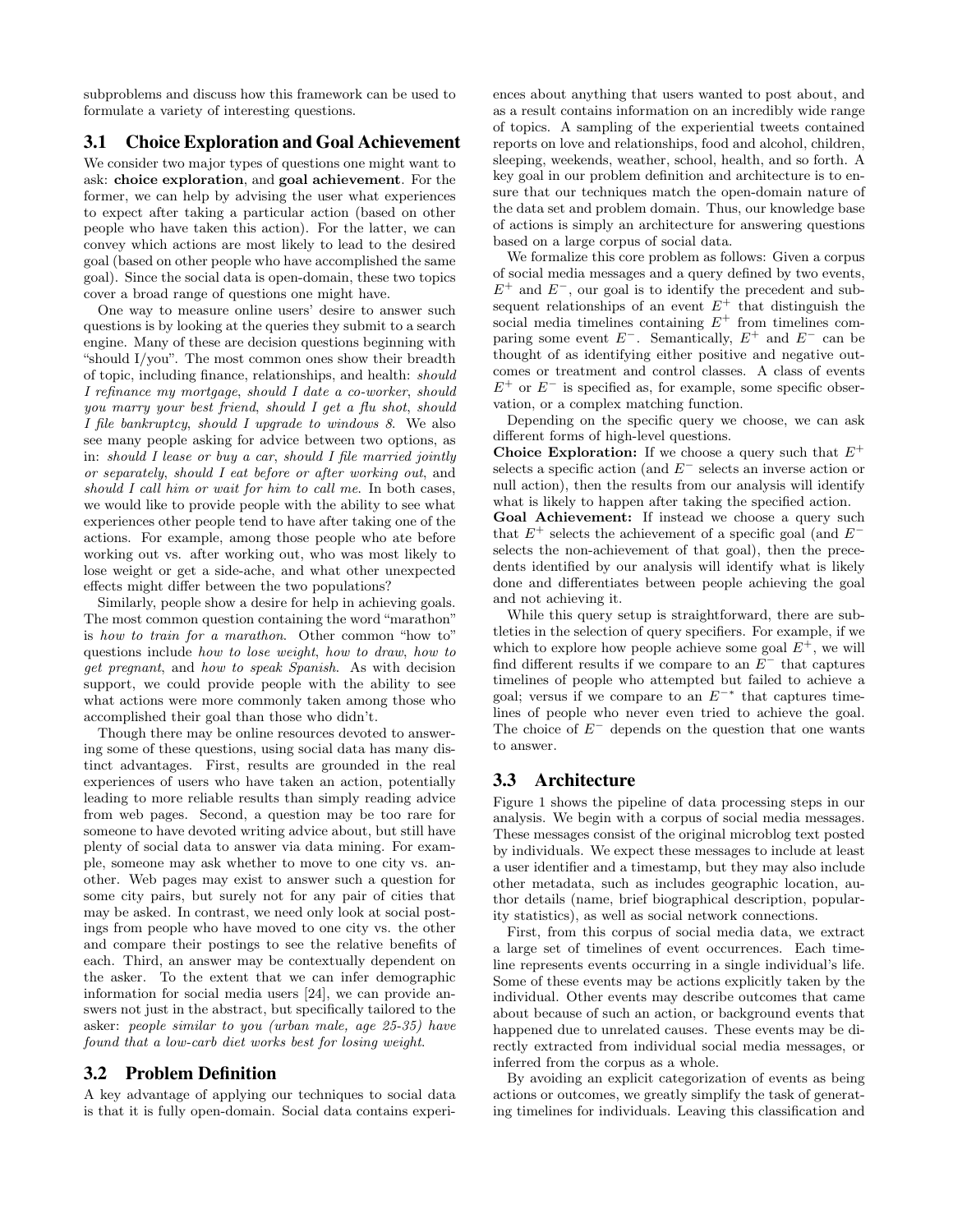subproblems and discuss how this framework can be used to formulate a variety of interesting questions.

## 3.1 Choice Exploration and Goal Achievement

We consider two major types of questions one might want to ask: choice exploration, and goal achievement. For the former, we can help by advising the user what experiences to expect after taking a particular action (based on other people who have taken this action). For the latter, we can convey which actions are most likely to lead to the desired goal (based on other people who have accomplished the same goal). Since the social data is open-domain, these two topics cover a broad range of questions one might have.

One way to measure online users' desire to answer such questions is by looking at the queries they submit to a search engine. Many of these are decision questions beginning with "should I/you". The most common ones show their breadth of topic, including finance, relationships, and health: should I refinance my mortgage, should I date a co-worker, should you marry your best friend, should I get a flu shot, should I file bankruptcy, should I upgrade to windows 8. We also see many people asking for advice between two options, as in: should I lease or buy a car, should I file married jointly or separately, should I eat before or after working out, and should I call him or wait for him to call me. In both cases, we would like to provide people with the ability to see what experiences other people tend to have after taking one of the actions. For example, among those people who ate before working out vs. after working out, who was most likely to lose weight or get a side-ache, and what other unexpected effects might differ between the two populations?

Similarly, people show a desire for help in achieving goals. The most common question containing the word "marathon" is how to train for a marathon. Other common "how to" questions include how to lose weight, how to draw, how to get pregnant, and how to speak Spanish. As with decision support, we could provide people with the ability to see what actions were more commonly taken among those who accomplished their goal than those who didn't.

Though there may be online resources devoted to answering some of these questions, using social data has many distinct advantages. First, results are grounded in the real experiences of users who have taken an action, potentially leading to more reliable results than simply reading advice from web pages. Second, a question may be too rare for someone to have devoted writing advice about, but still have plenty of social data to answer via data mining. For example, someone may ask whether to move to one city vs. another. Web pages may exist to answer such a question for some city pairs, but surely not for any pair of cities that may be asked. In contrast, we need only look at social postings from people who have moved to one city vs. the other and compare their postings to see the relative benefits of each. Third, an answer may be contextually dependent on the asker. To the extent that we can infer demographic information for social media users [24], we can provide answers not just in the abstract, but specifically tailored to the asker: people similar to you (urban male, age 25-35) have found that a low-carb diet works best for losing weight.

#### 3.2 Problem Definition

A key advantage of applying our techniques to social data is that it is fully open-domain. Social data contains experiences about anything that users wanted to post about, and as a result contains information on an incredibly wide range of topics. A sampling of the experiential tweets contained reports on love and relationships, food and alcohol, children, sleeping, weekends, weather, school, health, and so forth. A key goal in our problem definition and architecture is to ensure that our techniques match the open-domain nature of the data set and problem domain. Thus, our knowledge base of actions is simply an architecture for answering questions based on a large corpus of social data.

We formalize this core problem as follows: Given a corpus of social media messages and a query defined by two events,  $E^+$  and  $E^-$ , our goal is to identify the precedent and subsequent relationships of an event  $E^+$  that distinguish the social media timelines containing  $E^+$  from timelines comparing some event  $E^-$ . Semantically,  $E^+$  and  $E^-$  can be thought of as identifying either positive and negative outcomes or treatment and control classes. A class of events  $E^+$  or  $E^-$  is specified as, for example, some specific observation, or a complex matching function.

Depending on the specific query we choose, we can ask different forms of high-level questions.

**Choice Exploration:** If we choose a query such that  $E^+$ selects a specific action (and  $E^-$  selects an inverse action or null action), then the results from our analysis will identify what is likely to happen after taking the specified action.

Goal Achievement: If instead we choose a query such that  $E^+$  selects the achievement of a specific goal (and  $E^$ selects the non-achievement of that goal), then the precedents identified by our analysis will identify what is likely done and differentiates between people achieving the goal and not achieving it.

While this query setup is straightforward, there are subtleties in the selection of query specifiers. For example, if we which to explore how people achieve some goal  $E^+$ , we will find different results if we compare to an  $E^-$  that captures timelines of people who attempted but failed to achieve a goal; versus if we compare to an  $E^{-*}$  that captures timelines of people who never even tried to achieve the goal. The choice of  $E^-$  depends on the question that one wants to answer.

## 3.3 Architecture

Figure 1 shows the pipeline of data processing steps in our analysis. We begin with a corpus of social media messages. These messages consist of the original microblog text posted by individuals. We expect these messages to include at least a user identifier and a timestamp, but they may also include other metadata, such as includes geographic location, author details (name, brief biographical description, popularity statistics), as well as social network connections.

First, from this corpus of social media data, we extract a large set of timelines of event occurrences. Each timeline represents events occurring in a single individual's life. Some of these events may be actions explicitly taken by the individual. Other events may describe outcomes that came about because of such an action, or background events that happened due to unrelated causes. These events may be directly extracted from individual social media messages, or inferred from the corpus as a whole.

By avoiding an explicit categorization of events as being actions or outcomes, we greatly simplify the task of generating timelines for individuals. Leaving this classification and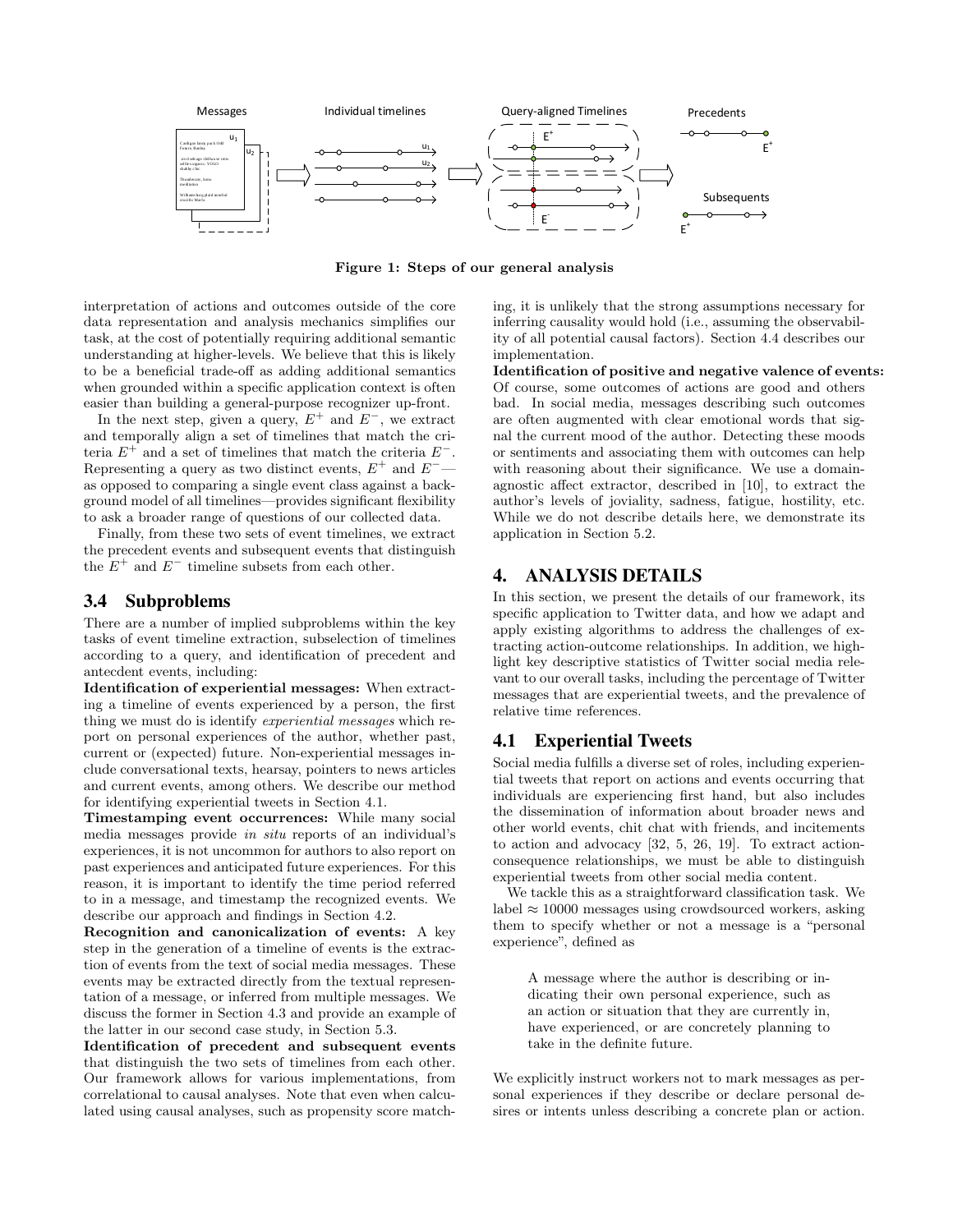

Figure 1: Steps of our general analysis

interpretation of actions and outcomes outside of the core data representation and analysis mechanics simplifies our task, at the cost of potentially requiring additional semantic understanding at higher-levels. We believe that this is likely to be a beneficial trade-off as adding additional semantics when grounded within a specific application context is often easier than building a general-purpose recognizer up-front.

In the next step, given a query,  $E^+$  and  $E^-$ , we extract and temporally align a set of timelines that match the criteria  $E^+$  and a set of timelines that match the criteria  $E^-$ . Representing a query as two distinct events,  $E^+$  and  $E^$ as opposed to comparing a single event class against a background model of all timelines—provides significant flexibility to ask a broader range of questions of our collected data.

Finally, from these two sets of event timelines, we extract the precedent events and subsequent events that distinguish the  $E^+$  and  $E^-$  timeline subsets from each other.

#### 3.4 Subproblems

There are a number of implied subproblems within the key tasks of event timeline extraction, subselection of timelines according to a query, and identification of precedent and antecdent events, including:

Identification of experiential messages: When extracting a timeline of events experienced by a person, the first thing we must do is identify experiential messages which report on personal experiences of the author, whether past, current or (expected) future. Non-experiential messages include conversational texts, hearsay, pointers to news articles and current events, among others. We describe our method for identifying experiential tweets in Section 4.1.

Timestamping event occurrences: While many social media messages provide in situ reports of an individual's experiences, it is not uncommon for authors to also report on past experiences and anticipated future experiences. For this reason, it is important to identify the time period referred to in a message, and timestamp the recognized events. We describe our approach and findings in Section 4.2.

Recognition and canonicalization of events: A key step in the generation of a timeline of events is the extraction of events from the text of social media messages. These events may be extracted directly from the textual representation of a message, or inferred from multiple messages. We discuss the former in Section 4.3 and provide an example of the latter in our second case study, in Section 5.3.

Identification of precedent and subsequent events that distinguish the two sets of timelines from each other. Our framework allows for various implementations, from correlational to causal analyses. Note that even when calculated using causal analyses, such as propensity score matching, it is unlikely that the strong assumptions necessary for inferring causality would hold (i.e., assuming the observability of all potential causal factors). Section 4.4 describes our implementation.

Identification of positive and negative valence of events: Of course, some outcomes of actions are good and others bad. In social media, messages describing such outcomes are often augmented with clear emotional words that signal the current mood of the author. Detecting these moods or sentiments and associating them with outcomes can help with reasoning about their significance. We use a domainagnostic affect extractor, described in [10], to extract the author's levels of joviality, sadness, fatigue, hostility, etc. While we do not describe details here, we demonstrate its application in Section 5.2.

## 4. ANALYSIS DETAILS

In this section, we present the details of our framework, its specific application to Twitter data, and how we adapt and apply existing algorithms to address the challenges of extracting action-outcome relationships. In addition, we highlight key descriptive statistics of Twitter social media relevant to our overall tasks, including the percentage of Twitter messages that are experiential tweets, and the prevalence of relative time references.

## 4.1 Experiential Tweets

Social media fulfills a diverse set of roles, including experiential tweets that report on actions and events occurring that individuals are experiencing first hand, but also includes the dissemination of information about broader news and other world events, chit chat with friends, and incitements to action and advocacy [32, 5, 26, 19]. To extract actionconsequence relationships, we must be able to distinguish experiential tweets from other social media content.

We tackle this as a straightforward classification task. We label  $\approx 10000$  messages using crowdsourced workers, asking them to specify whether or not a message is a "personal experience", defined as

A message where the author is describing or indicating their own personal experience, such as an action or situation that they are currently in, have experienced, or are concretely planning to take in the definite future.

We explicitly instruct workers not to mark messages as personal experiences if they describe or declare personal desires or intents unless describing a concrete plan or action.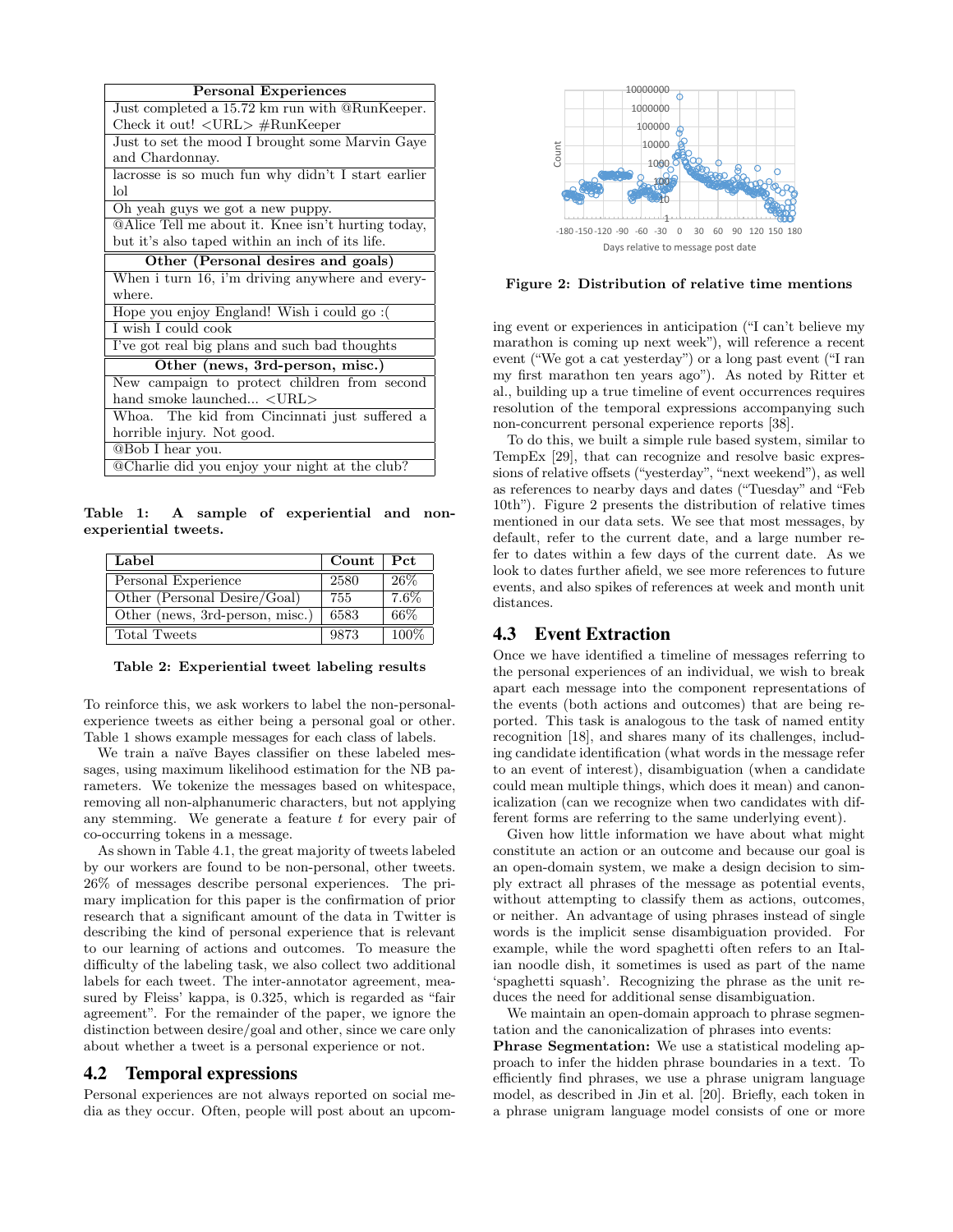| <b>Personal Experiences</b>                           |  |  |  |  |
|-------------------------------------------------------|--|--|--|--|
| Just completed a 15.72 km run with @RunKeeper.        |  |  |  |  |
| Check it out! $\langle \text{URL} \rangle$ #RunKeeper |  |  |  |  |
| Just to set the mood I brought some Marvin Gaye       |  |  |  |  |
| and Chardonnay.                                       |  |  |  |  |
| lacrosse is so much fun why didn't I start earlier    |  |  |  |  |
| lol                                                   |  |  |  |  |
| Oh yeah guys we got a new puppy.                      |  |  |  |  |
| @Alice Tell me about it. Knee isn't hurting today,    |  |  |  |  |
| but it's also taped within an inch of its life.       |  |  |  |  |
| Other (Personal desires and goals)                    |  |  |  |  |
| When i turn 16, i'm driving anywhere and every-       |  |  |  |  |
| where.                                                |  |  |  |  |
| Hope you enjoy England! Wish i could go:              |  |  |  |  |
| I wish I could cook                                   |  |  |  |  |
| I've got real big plans and such bad thoughts         |  |  |  |  |
| Other (news, 3rd-person, misc.)                       |  |  |  |  |
| New campaign to protect children from second          |  |  |  |  |
| hand smoke launched <url></url>                       |  |  |  |  |
| Whoa. The kid from Cincinnati just suffered a         |  |  |  |  |
| horrible injury. Not good.                            |  |  |  |  |
| <b>@Bob I hear you.</b>                               |  |  |  |  |
| @Charlie did you enjoy your night at the club?        |  |  |  |  |

Table 1: A sample of experiential and nonexperiential tweets.

| Label                           | $Count \,   \, Pet$ |       |
|---------------------------------|---------------------|-------|
| Personal Experience             | 2580                | 26%   |
| Other (Personal Desire/Goal)    | 755                 | 7.6%  |
| Other (news, 3rd-person, misc.) | 6583                | 66\%  |
| Total Tweets                    | 9873                | 100\% |

Table 2: Experiential tweet labeling results

To reinforce this, we ask workers to label the non-personalexperience tweets as either being a personal goal or other. Table 1 shows example messages for each class of labels.

We train a naïve Bayes classifier on these labeled messages, using maximum likelihood estimation for the NB parameters. We tokenize the messages based on whitespace, removing all non-alphanumeric characters, but not applying any stemming. We generate a feature  $t$  for every pair of co-occurring tokens in a message.

As shown in Table 4.1, the great majority of tweets labeled by our workers are found to be non-personal, other tweets. 26% of messages describe personal experiences. The primary implication for this paper is the confirmation of prior research that a significant amount of the data in Twitter is describing the kind of personal experience that is relevant to our learning of actions and outcomes. To measure the difficulty of the labeling task, we also collect two additional labels for each tweet. The inter-annotator agreement, measured by Fleiss' kappa, is 0.325, which is regarded as "fair agreement". For the remainder of the paper, we ignore the distinction between desire/goal and other, since we care only about whether a tweet is a personal experience or not.

#### 4.2 Temporal expressions

Personal experiences are not always reported on social media as they occur. Often, people will post about an upcom-



Figure 2: Distribution of relative time mentions

ing event or experiences in anticipation ("I can't believe my marathon is coming up next week"), will reference a recent event ("We got a cat yesterday") or a long past event ("I ran my first marathon ten years ago"). As noted by Ritter et al., building up a true timeline of event occurrences requires resolution of the temporal expressions accompanying such non-concurrent personal experience reports [38].

To do this, we built a simple rule based system, similar to TempEx [29], that can recognize and resolve basic expressions of relative offsets ("yesterday", "next weekend"), as well as references to nearby days and dates ("Tuesday" and "Feb 10th"). Figure 2 presents the distribution of relative times mentioned in our data sets. We see that most messages, by default, refer to the current date, and a large number refer to dates within a few days of the current date. As we look to dates further afield, we see more references to future events, and also spikes of references at week and month unit distances.

### 4.3 Event Extraction

Once we have identified a timeline of messages referring to the personal experiences of an individual, we wish to break apart each message into the component representations of the events (both actions and outcomes) that are being reported. This task is analogous to the task of named entity recognition [18], and shares many of its challenges, including candidate identification (what words in the message refer to an event of interest), disambiguation (when a candidate could mean multiple things, which does it mean) and canonicalization (can we recognize when two candidates with different forms are referring to the same underlying event).

Given how little information we have about what might constitute an action or an outcome and because our goal is an open-domain system, we make a design decision to simply extract all phrases of the message as potential events, without attempting to classify them as actions, outcomes, or neither. An advantage of using phrases instead of single words is the implicit sense disambiguation provided. For example, while the word spaghetti often refers to an Italian noodle dish, it sometimes is used as part of the name 'spaghetti squash'. Recognizing the phrase as the unit reduces the need for additional sense disambiguation.

We maintain an open-domain approach to phrase segmentation and the canonicalization of phrases into events:

Phrase Segmentation: We use a statistical modeling approach to infer the hidden phrase boundaries in a text. To efficiently find phrases, we use a phrase unigram language model, as described in Jin et al. [20]. Briefly, each token in a phrase unigram language model consists of one or more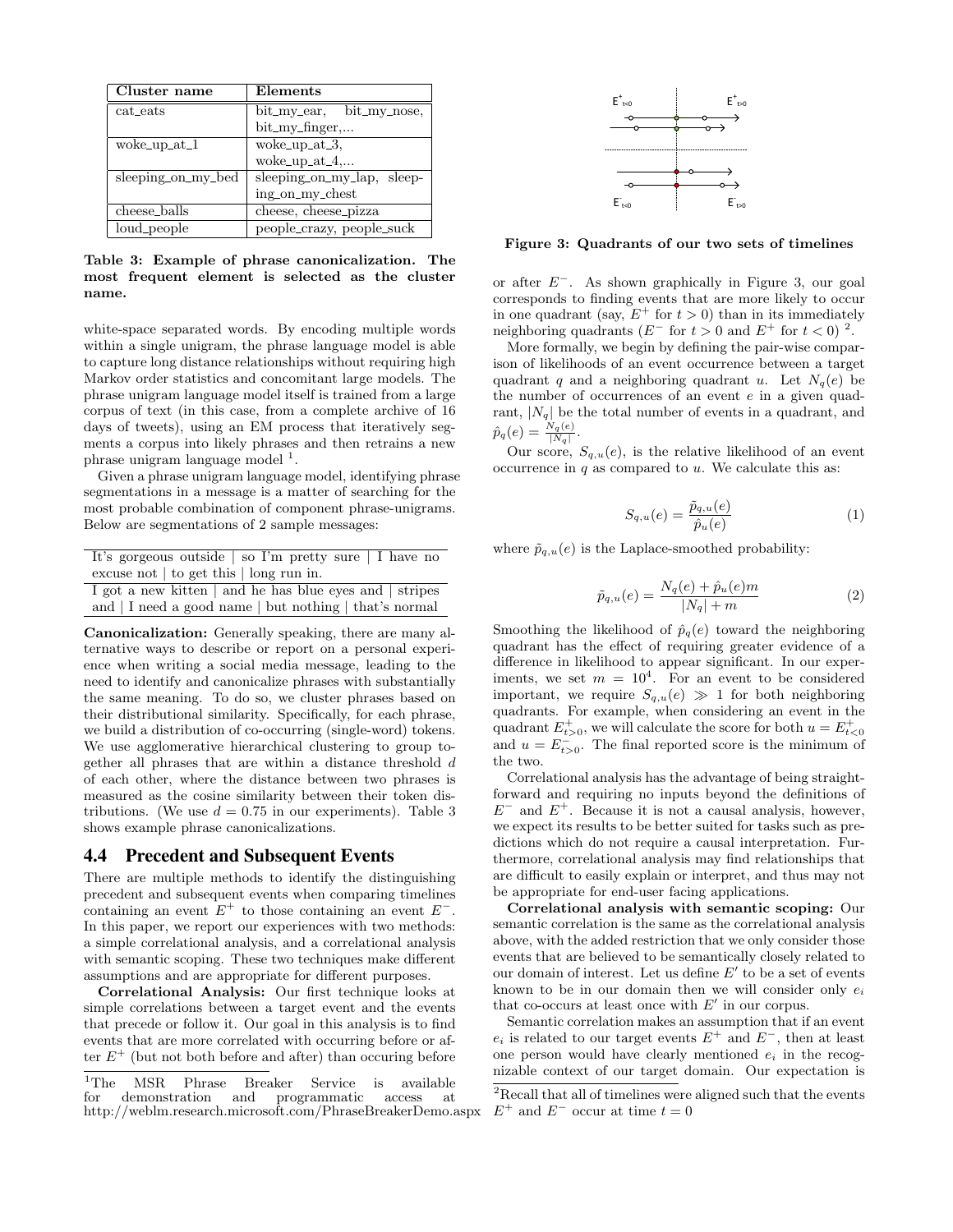| Cluster name       | Elements                   |
|--------------------|----------------------------|
| cat_eats           | bit_my_ear, bit_my_nose,   |
|                    | bit_my_finger,             |
| woke_up_at_1       | woke_up_at_3,              |
|                    | woke_up_at_ $4,$           |
| sleeping_on_my_bed | sleeping_on_my_lap, sleep- |
|                    | ing_on_my_chest            |
| cheese_balls       | cheese, cheese_pizza       |
| loud_people        | people_crazy, people_suck  |

Table 3: Example of phrase canonicalization. The most frequent element is selected as the cluster name.

white-space separated words. By encoding multiple words within a single unigram, the phrase language model is able to capture long distance relationships without requiring high Markov order statistics and concomitant large models. The phrase unigram language model itself is trained from a large corpus of text (in this case, from a complete archive of 16 days of tweets), using an EM process that iteratively segments a corpus into likely phrases and then retrains a new phrase unigram language model<sup>1</sup>.

Given a phrase unigram language model, identifying phrase segmentations in a message is a matter of searching for the most probable combination of component phrase-unigrams. Below are segmentations of 2 sample messages:

| It's gorgeous outside   so I'm pretty sure   I have no  |
|---------------------------------------------------------|
| excuse not $\vert$ to get this $\vert$ long run in.     |
| I got a new kitten   and he has blue eyes and   stripes |
| and   I need a good name   but nothing   that's normal  |

Canonicalization: Generally speaking, there are many alternative ways to describe or report on a personal experience when writing a social media message, leading to the need to identify and canonicalize phrases with substantially the same meaning. To do so, we cluster phrases based on their distributional similarity. Specifically, for each phrase, we build a distribution of co-occurring (single-word) tokens. We use agglomerative hierarchical clustering to group together all phrases that are within a distance threshold d of each other, where the distance between two phrases is measured as the cosine similarity between their token distributions. (We use  $d = 0.75$  in our experiments). Table 3 shows example phrase canonicalizations.

#### 4.4 Precedent and Subsequent Events

There are multiple methods to identify the distinguishing precedent and subsequent events when comparing timelines containing an event  $E^+$  to those containing an event  $E^-$ . In this paper, we report our experiences with two methods: a simple correlational analysis, and a correlational analysis with semantic scoping. These two techniques make different assumptions and are appropriate for different purposes.

Correlational Analysis: Our first technique looks at simple correlations between a target event and the events that precede or follow it. Our goal in this analysis is to find events that are more correlated with occurring before or after  $E^+$  (but not both before and after) than occuring before



Figure 3: Quadrants of our two sets of timelines

or after  $E^-$ . As shown graphically in Figure 3, our goal corresponds to finding events that are more likely to occur in one quadrant (say,  $E^+$  for  $t > 0$ ) than in its immediately neighboring quadrants ( $E^-$  for  $t > 0$  and  $E^+$  for  $t < 0$ )<sup>2</sup>.

More formally, we begin by defining the pair-wise comparison of likelihoods of an event occurrence between a target quadrant q and a neighboring quadrant u. Let  $N_q(e)$  be the number of occurrences of an event e in a given quadrant,  $|N_q|$  be the total number of events in a quadrant, and  $\hat{p}_q(e) = \frac{N_q(e)}{|N_q|}.$ 

Our score,  $S_{q,u}(e)$ , is the relative likelihood of an event occurrence in  $q$  as compared to  $u$ . We calculate this as:

$$
S_{q,u}(e) = \frac{\tilde{p}_{q,u}(e)}{\hat{p}_u(e)}\tag{1}
$$

where  $\tilde{p}_{q,u}(e)$  is the Laplace-smoothed probability:

$$
\tilde{p}_{q,u}(e) = \frac{N_q(e) + \hat{p}_u(e)m}{|N_q| + m} \tag{2}
$$

Smoothing the likelihood of  $\hat{p}_q(e)$  toward the neighboring quadrant has the effect of requiring greater evidence of a difference in likelihood to appear significant. In our experiments, we set  $m = 10^4$ . For an event to be considered important, we require  $S_{q,u}(e) \gg 1$  for both neighboring quadrants. For example, when considering an event in the quadrant  $E_{t>0}^{+}$ , we will calculate the score for both  $u = E_{t<0}^{+}$ and  $u = E_{t>0}^{-}$ . The final reported score is the minimum of the two.

Correlational analysis has the advantage of being straightforward and requiring no inputs beyond the definitions of  $E^-$  and  $E^+$ . Because it is not a causal analysis, however, we expect its results to be better suited for tasks such as predictions which do not require a causal interpretation. Furthermore, correlational analysis may find relationships that are difficult to easily explain or interpret, and thus may not be appropriate for end-user facing applications.

Correlational analysis with semantic scoping: Our semantic correlation is the same as the correlational analysis above, with the added restriction that we only consider those events that are believed to be semantically closely related to our domain of interest. Let us define  $E'$  to be a set of events known to be in our domain then we will consider only  $e_i$ that co-occurs at least once with  $E'$  in our corpus.

Semantic correlation makes an assumption that if an event  $e_i$  is related to our target events  $E^+$  and  $E^-$ , then at least one person would have clearly mentioned  $e_i$  in the recognizable context of our target domain. Our expectation is

<sup>&</sup>lt;sup>1</sup>The MSR Phrase Breaker Service is available<br>for demonstration and programmatic access at programmatic http://weblm.research.microsoft.com/PhraseBreakerDemo.aspx

<sup>&</sup>lt;sup>2</sup>Recall that all of timelines were aligned such that the events  $E^+$  and  $E^-$  occur at time  $t=0$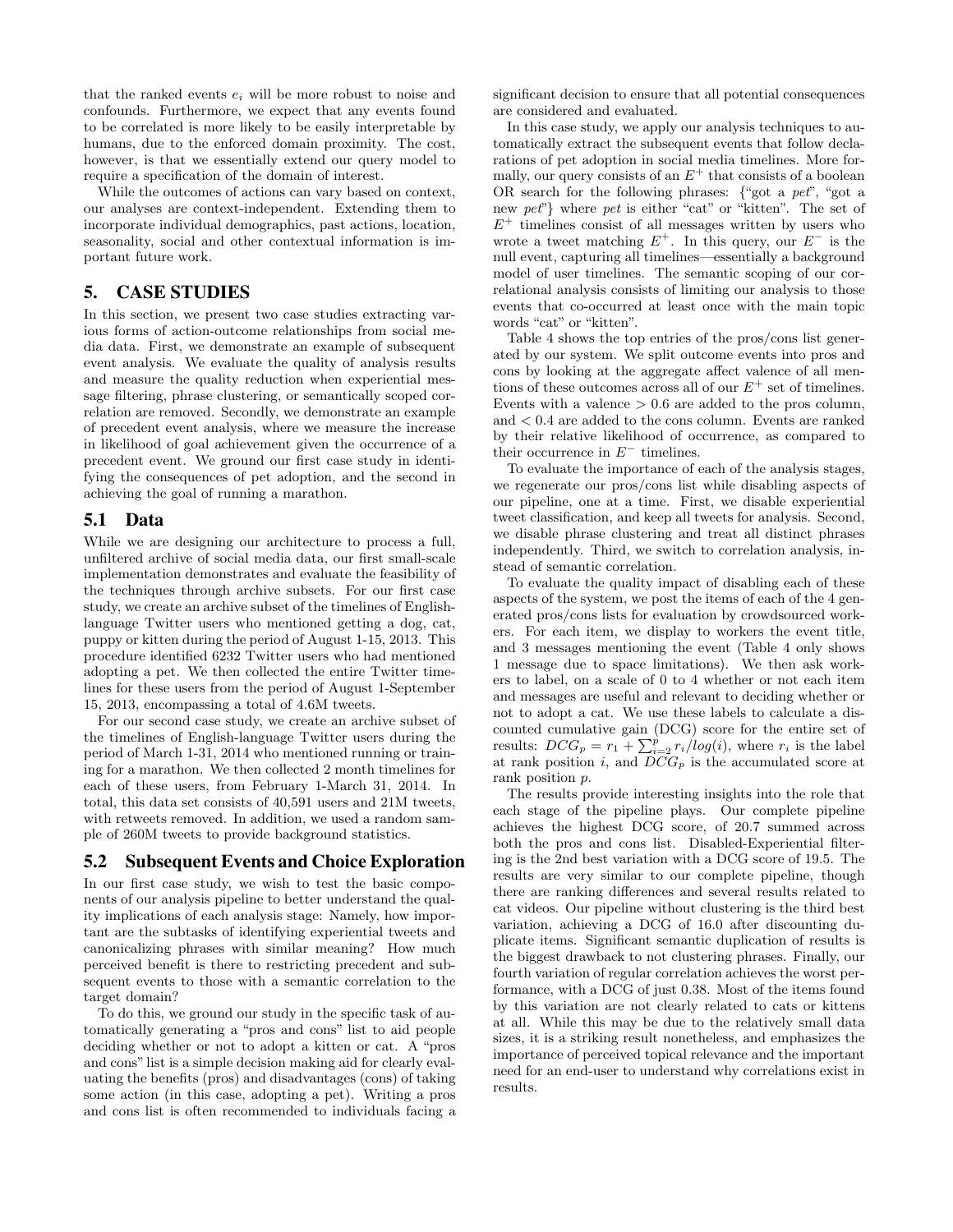that the ranked events  $e_i$  will be more robust to noise and confounds. Furthermore, we expect that any events found to be correlated is more likely to be easily interpretable by humans, due to the enforced domain proximity. The cost, however, is that we essentially extend our query model to require a specification of the domain of interest.

While the outcomes of actions can vary based on context, our analyses are context-independent. Extending them to incorporate individual demographics, past actions, location, seasonality, social and other contextual information is important future work.

## 5. CASE STUDIES

In this section, we present two case studies extracting various forms of action-outcome relationships from social media data. First, we demonstrate an example of subsequent event analysis. We evaluate the quality of analysis results and measure the quality reduction when experiential message filtering, phrase clustering, or semantically scoped correlation are removed. Secondly, we demonstrate an example of precedent event analysis, where we measure the increase in likelihood of goal achievement given the occurrence of a precedent event. We ground our first case study in identifying the consequences of pet adoption, and the second in achieving the goal of running a marathon.

#### 5.1 Data

While we are designing our architecture to process a full, unfiltered archive of social media data, our first small-scale implementation demonstrates and evaluate the feasibility of the techniques through archive subsets. For our first case study, we create an archive subset of the timelines of Englishlanguage Twitter users who mentioned getting a dog, cat, puppy or kitten during the period of August 1-15, 2013. This procedure identified 6232 Twitter users who had mentioned adopting a pet. We then collected the entire Twitter timelines for these users from the period of August 1-September 15, 2013, encompassing a total of 4.6M tweets.

For our second case study, we create an archive subset of the timelines of English-language Twitter users during the period of March 1-31, 2014 who mentioned running or training for a marathon. We then collected 2 month timelines for each of these users, from February 1-March 31, 2014. In total, this data set consists of 40,591 users and 21M tweets, with retweets removed. In addition, we used a random sample of 260M tweets to provide background statistics.

#### 5.2 Subsequent Events and Choice Exploration

In our first case study, we wish to test the basic components of our analysis pipeline to better understand the quality implications of each analysis stage: Namely, how important are the subtasks of identifying experiential tweets and canonicalizing phrases with similar meaning? How much perceived benefit is there to restricting precedent and subsequent events to those with a semantic correlation to the target domain?

To do this, we ground our study in the specific task of automatically generating a "pros and cons" list to aid people deciding whether or not to adopt a kitten or cat. A "pros and cons"list is a simple decision making aid for clearly evaluating the benefits (pros) and disadvantages (cons) of taking some action (in this case, adopting a pet). Writing a pros and cons list is often recommended to individuals facing a

significant decision to ensure that all potential consequences are considered and evaluated.

In this case study, we apply our analysis techniques to automatically extract the subsequent events that follow declarations of pet adoption in social media timelines. More formally, our query consists of an  $E^+$  that consists of a boolean OR search for the following phrases: {"got a pet", "got a new pet<sup>"</sup>} where pet is either "cat" or "kitten". The set of  $E^+$  timelines consist of all messages written by users who wrote a tweet matching  $E^+$ . In this query, our  $E^-$  is the null event, capturing all timelines—essentially a background model of user timelines. The semantic scoping of our correlational analysis consists of limiting our analysis to those events that co-occurred at least once with the main topic words "cat" or "kitten".

Table 4 shows the top entries of the pros/cons list generated by our system. We split outcome events into pros and cons by looking at the aggregate affect valence of all mentions of these outcomes across all of our  $E^+$  set of timelines. Events with a valence  $> 0.6$  are added to the pros column, and < 0.4 are added to the cons column. Events are ranked by their relative likelihood of occurrence, as compared to their occurrence in  $E^-$  timelines.

To evaluate the importance of each of the analysis stages, we regenerate our pros/cons list while disabling aspects of our pipeline, one at a time. First, we disable experiential tweet classification, and keep all tweets for analysis. Second, we disable phrase clustering and treat all distinct phrases independently. Third, we switch to correlation analysis, instead of semantic correlation.

To evaluate the quality impact of disabling each of these aspects of the system, we post the items of each of the 4 generated pros/cons lists for evaluation by crowdsourced workers. For each item, we display to workers the event title, and 3 messages mentioning the event (Table 4 only shows 1 message due to space limitations). We then ask workers to label, on a scale of 0 to 4 whether or not each item and messages are useful and relevant to deciding whether or not to adopt a cat. We use these labels to calculate a discounted cumulative gain (DCG) score for the entire set of results:  $DCG_p = r_1 + \sum_{i=2}^{p} r_i/log(i)$ , where  $r_i$  is the label at rank position i, and  $DCG_p$  is the accumulated score at rank position p.

The results provide interesting insights into the role that each stage of the pipeline plays. Our complete pipeline achieves the highest DCG score, of 20.7 summed across both the pros and cons list. Disabled-Experiential filtering is the 2nd best variation with a DCG score of 19.5. The results are very similar to our complete pipeline, though there are ranking differences and several results related to cat videos. Our pipeline without clustering is the third best variation, achieving a DCG of 16.0 after discounting duplicate items. Significant semantic duplication of results is the biggest drawback to not clustering phrases. Finally, our fourth variation of regular correlation achieves the worst performance, with a DCG of just 0.38. Most of the items found by this variation are not clearly related to cats or kittens at all. While this may be due to the relatively small data sizes, it is a striking result nonetheless, and emphasizes the importance of perceived topical relevance and the important need for an end-user to understand why correlations exist in results.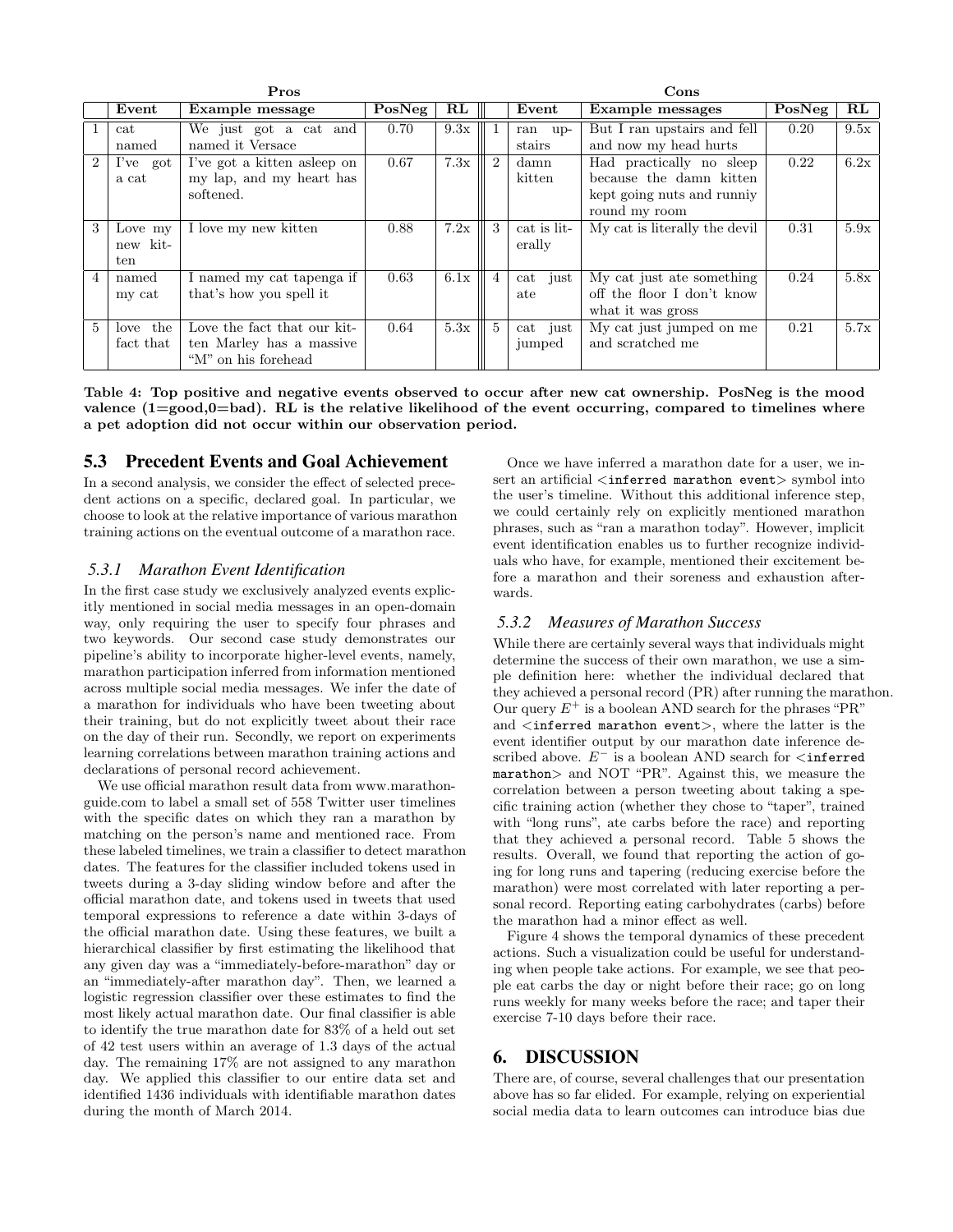| Pros           |           |                             |        |               | Cons                        |             |                               |        |               |
|----------------|-----------|-----------------------------|--------|---------------|-----------------------------|-------------|-------------------------------|--------|---------------|
|                | Event     | Example message             | PosNeg | $\mathbf{RL}$ |                             | Event       | <b>Example messages</b>       | PosNeg | $\mathbf{RL}$ |
|                | cat       | We just got a cat and       | 0.70   | 9.3x          |                             | ran up-     | But I ran upstairs and fell   | 0.20   | 9.5x          |
|                | named     | named it Versace            |        |               |                             | stairs      | and now my head hurts         |        |               |
| $\overline{2}$ | I've got  | I've got a kitten asleep on | 0.67   | 7.3x          | $\mathcal{D}_{\mathcal{L}}$ | damn        | Had practically no sleep      | 0.22   | 6.2x          |
|                | a cat     | my lap, and my heart has    |        |               |                             | kitten      | because the damn kitten       |        |               |
|                |           | softened.                   |        |               |                             |             | kept going nuts and runniy    |        |               |
|                |           |                             |        |               |                             |             | round my room                 |        |               |
| 3              | Love my   | I love my new kitten        | 0.88   | 7.2x          | 3                           | cat is lit- | My cat is literally the devil | 0.31   | 5.9x          |
|                | new kit-  |                             |        |               |                             | erally      |                               |        |               |
|                | ten       |                             |        |               |                             |             |                               |        |               |
| $\overline{4}$ | named     | I named my cat tapenga if   | 0.63   | 6.1x          | $\overline{4}$              | cat just    | My cat just ate something     | 0.24   | 5.8x          |
|                | my cat    | that's how you spell it     |        |               |                             | ate         | off the floor I don't know    |        |               |
|                |           |                             |        |               |                             |             | what it was gross             |        |               |
| $5^{\circ}$    | love the  | Love the fact that our kit- | 0.64   | 5.3x          | $5^{\circ}$                 | cat just    | My cat just jumped on me      | 0.21   | 5.7x          |
|                | fact that | ten Marley has a massive    |        |               |                             | jumped      | and scratched me              |        |               |
|                |           | "M" on his forehead         |        |               |                             |             |                               |        |               |

Table 4: Top positive and negative events observed to occur after new cat ownership. PosNeg is the mood valence (1=good,0=bad). RL is the relative likelihood of the event occurring, compared to timelines where a pet adoption did not occur within our observation period.

## 5.3 Precedent Events and Goal Achievement

In a second analysis, we consider the effect of selected precedent actions on a specific, declared goal. In particular, we choose to look at the relative importance of various marathon training actions on the eventual outcome of a marathon race.

#### *5.3.1 Marathon Event Identification*

In the first case study we exclusively analyzed events explicitly mentioned in social media messages in an open-domain way, only requiring the user to specify four phrases and two keywords. Our second case study demonstrates our pipeline's ability to incorporate higher-level events, namely, marathon participation inferred from information mentioned across multiple social media messages. We infer the date of a marathon for individuals who have been tweeting about their training, but do not explicitly tweet about their race on the day of their run. Secondly, we report on experiments learning correlations between marathon training actions and declarations of personal record achievement.

We use official marathon result data from www.marathonguide.com to label a small set of 558 Twitter user timelines with the specific dates on which they ran a marathon by matching on the person's name and mentioned race. From these labeled timelines, we train a classifier to detect marathon dates. The features for the classifier included tokens used in tweets during a 3-day sliding window before and after the official marathon date, and tokens used in tweets that used temporal expressions to reference a date within 3-days of the official marathon date. Using these features, we built a hierarchical classifier by first estimating the likelihood that any given day was a "immediately-before-marathon" day or an "immediately-after marathon day". Then, we learned a logistic regression classifier over these estimates to find the most likely actual marathon date. Our final classifier is able to identify the true marathon date for 83% of a held out set of 42 test users within an average of 1.3 days of the actual day. The remaining 17% are not assigned to any marathon day. We applied this classifier to our entire data set and identified 1436 individuals with identifiable marathon dates during the month of March 2014.

Once we have inferred a marathon date for a user, we insert an artificial <inferred marathon event> symbol into the user's timeline. Without this additional inference step, we could certainly rely on explicitly mentioned marathon phrases, such as "ran a marathon today". However, implicit event identification enables us to further recognize individuals who have, for example, mentioned their excitement before a marathon and their soreness and exhaustion afterwards.

#### *5.3.2 Measures of Marathon Success*

While there are certainly several ways that individuals might determine the success of their own marathon, we use a simple definition here: whether the individual declared that they achieved a personal record (PR) after running the marathon. Our query  $E^+$  is a boolean AND search for the phrases "PR" and  $\langle$  inferred marathon event>, where the latter is the event identifier output by our marathon date inference described above.  $E^-$  is a boolean AND search for  $\leq$  inferred marathon> and NOT "PR". Against this, we measure the correlation between a person tweeting about taking a specific training action (whether they chose to "taper", trained with "long runs", ate carbs before the race) and reporting that they achieved a personal record. Table 5 shows the results. Overall, we found that reporting the action of going for long runs and tapering (reducing exercise before the marathon) were most correlated with later reporting a personal record. Reporting eating carbohydrates (carbs) before the marathon had a minor effect as well.

Figure 4 shows the temporal dynamics of these precedent actions. Such a visualization could be useful for understanding when people take actions. For example, we see that people eat carbs the day or night before their race; go on long runs weekly for many weeks before the race; and taper their exercise 7-10 days before their race.

## 6. DISCUSSION

There are, of course, several challenges that our presentation above has so far elided. For example, relying on experiential social media data to learn outcomes can introduce bias due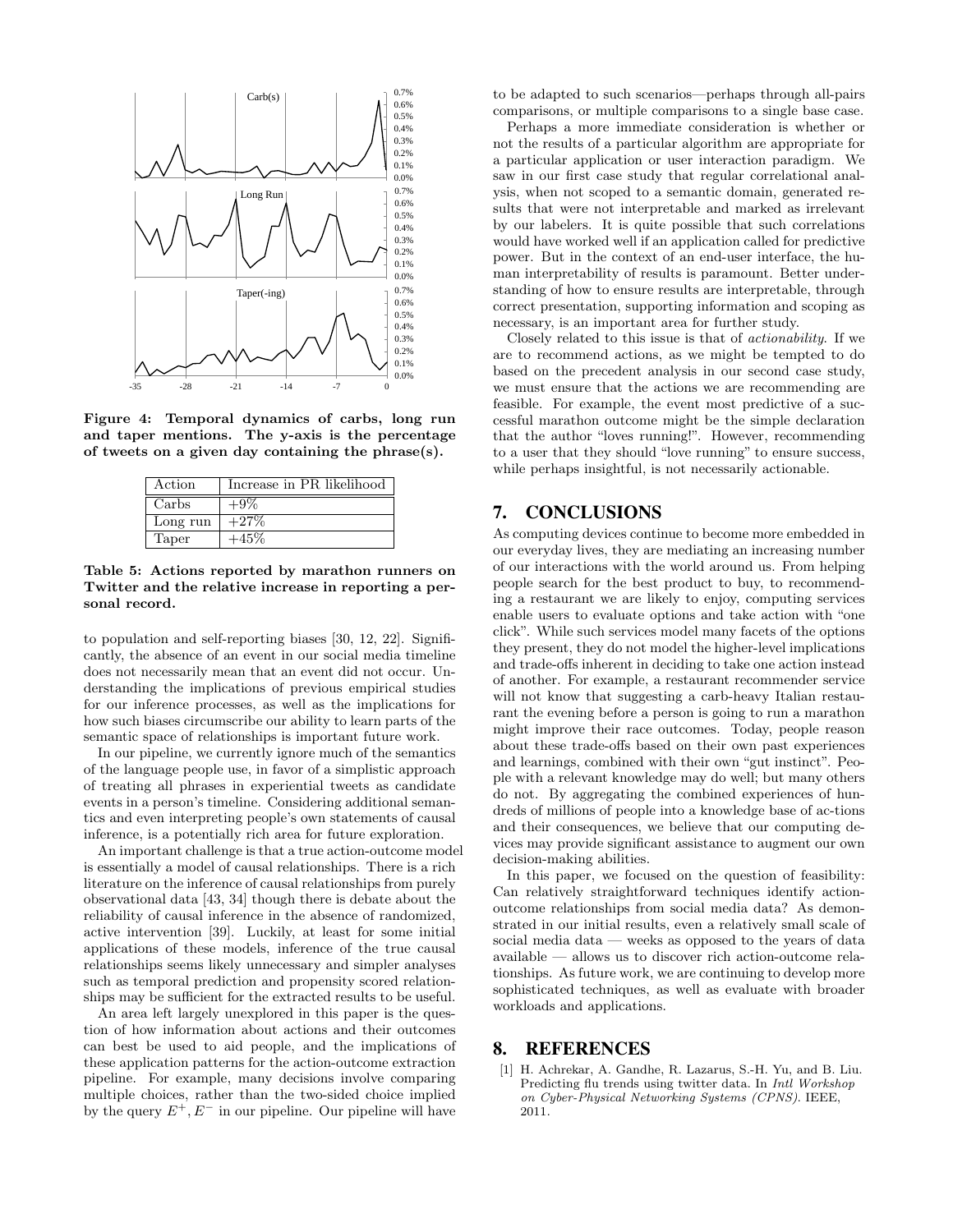

Figure 4: Temporal dynamics of carbs, long run and taper mentions. The y-axis is the percentage of tweets on a given day containing the phrase(s).

| Action   | Increase in PR likelihood |
|----------|---------------------------|
| Carbs    | $+9\%$                    |
| Long run | $+27\%$                   |
| Taper    | -45%                      |

Table 5: Actions reported by marathon runners on Twitter and the relative increase in reporting a personal record.

to population and self-reporting biases [30, 12, 22]. Significantly, the absence of an event in our social media timeline does not necessarily mean that an event did not occur. Understanding the implications of previous empirical studies for our inference processes, as well as the implications for how such biases circumscribe our ability to learn parts of the semantic space of relationships is important future work.

In our pipeline, we currently ignore much of the semantics of the language people use, in favor of a simplistic approach of treating all phrases in experiential tweets as candidate events in a person's timeline. Considering additional semantics and even interpreting people's own statements of causal inference, is a potentially rich area for future exploration.

An important challenge is that a true action-outcome model is essentially a model of causal relationships. There is a rich literature on the inference of causal relationships from purely observational data [43, 34] though there is debate about the reliability of causal inference in the absence of randomized, active intervention [39]. Luckily, at least for some initial applications of these models, inference of the true causal relationships seems likely unnecessary and simpler analyses such as temporal prediction and propensity scored relationships may be sufficient for the extracted results to be useful.

An area left largely unexplored in this paper is the question of how information about actions and their outcomes can best be used to aid people, and the implications of these application patterns for the action-outcome extraction pipeline. For example, many decisions involve comparing multiple choices, rather than the two-sided choice implied by the query  $E^+, E^-$  in our pipeline. Our pipeline will have

to be adapted to such scenarios—perhaps through all-pairs comparisons, or multiple comparisons to a single base case.

Perhaps a more immediate consideration is whether or not the results of a particular algorithm are appropriate for a particular application or user interaction paradigm. We saw in our first case study that regular correlational analysis, when not scoped to a semantic domain, generated results that were not interpretable and marked as irrelevant by our labelers. It is quite possible that such correlations would have worked well if an application called for predictive power. But in the context of an end-user interface, the human interpretability of results is paramount. Better understanding of how to ensure results are interpretable, through correct presentation, supporting information and scoping as necessary, is an important area for further study.

Closely related to this issue is that of actionability. If we are to recommend actions, as we might be tempted to do based on the precedent analysis in our second case study, we must ensure that the actions we are recommending are feasible. For example, the event most predictive of a successful marathon outcome might be the simple declaration that the author "loves running!". However, recommending to a user that they should "love running" to ensure success, while perhaps insightful, is not necessarily actionable.

## 7. CONCLUSIONS

As computing devices continue to become more embedded in our everyday lives, they are mediating an increasing number of our interactions with the world around us. From helping people search for the best product to buy, to recommending a restaurant we are likely to enjoy, computing services enable users to evaluate options and take action with "one click". While such services model many facets of the options they present, they do not model the higher-level implications and trade-offs inherent in deciding to take one action instead of another. For example, a restaurant recommender service will not know that suggesting a carb-heavy Italian restaurant the evening before a person is going to run a marathon might improve their race outcomes. Today, people reason about these trade-offs based on their own past experiences and learnings, combined with their own "gut instinct". People with a relevant knowledge may do well; but many others do not. By aggregating the combined experiences of hundreds of millions of people into a knowledge base of ac-tions and their consequences, we believe that our computing devices may provide significant assistance to augment our own decision-making abilities.

In this paper, we focused on the question of feasibility: Can relatively straightforward techniques identify actionoutcome relationships from social media data? As demonstrated in our initial results, even a relatively small scale of social media data — weeks as opposed to the years of data available — allows us to discover rich action-outcome relationships. As future work, we are continuing to develop more sophisticated techniques, as well as evaluate with broader workloads and applications.

## 8. REFERENCES

[1] H. Achrekar, A. Gandhe, R. Lazarus, S.-H. Yu, and B. Liu. Predicting flu trends using twitter data. In Intl Workshop on Cyber-Physical Networking Systems (CPNS). IEEE, 2011.